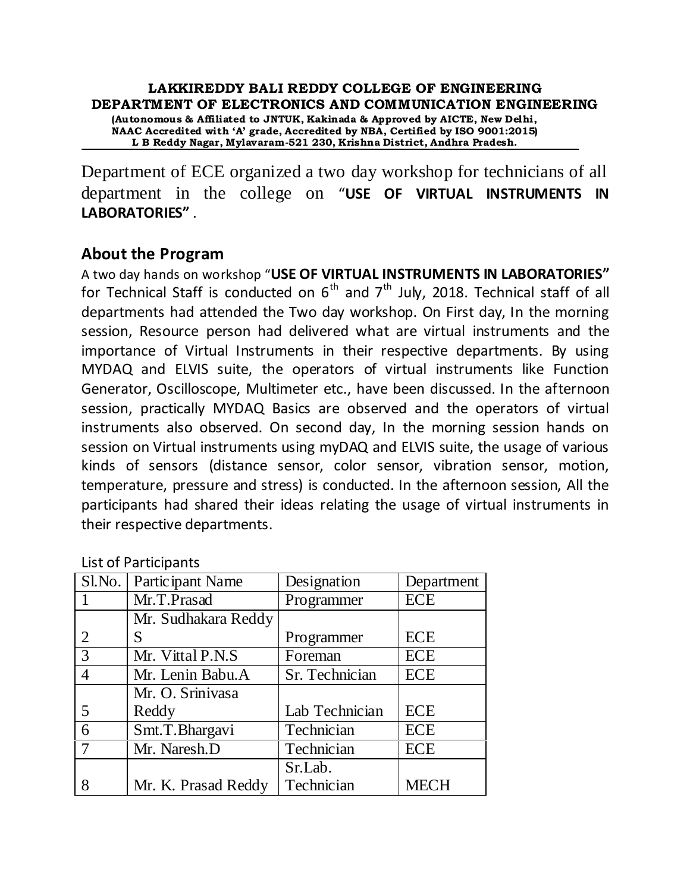## **LAKKIREDDY BALI REDDY COLLEGE OF ENGINEERING DEPARTMENT OF ELECTRONICS AND COMMUNICATION ENGINEERING (Autonomous & Affiliated to JNTUK, Kakinada & Approved by AICTE, New Delhi, NAAC Accredited with 'A' grade, Accredited by NBA, Certified by ISO 9001:2015) L B Reddy Nagar, Mylavaram-521 230, Krishna District, Andhra Pradesh.**

Department of ECE organized a two day workshop for technicians of all department in the college on "**USE OF VIRTUAL INSTRUMENTS IN LABORATORIES"** .

## **About the Program**

A two day hands on workshop "**USE OF VIRTUAL INSTRUMENTS IN LABORATORIES"**  for Technical Staff is conducted on  $6<sup>th</sup>$  and  $7<sup>th</sup>$  July, 2018. Technical staff of all departments had attended the Two day workshop. On First day, In the morning session, Resource person had delivered what are virtual instruments and the importance of Virtual Instruments in their respective departments. By using MYDAQ and ELVIS suite, the operators of virtual instruments like Function Generator, Oscilloscope, Multimeter etc., have been discussed. In the afternoon session, practically MYDAQ Basics are observed and the operators of virtual instruments also observed. On second day, In the morning session hands on session on Virtual instruments using myDAQ and ELVIS suite, the usage of various kinds of sensors (distance sensor, color sensor, vibration sensor, motion, temperature, pressure and stress) is conducted. In the afternoon session, All the participants had shared their ideas relating the usage of virtual instruments in their respective departments.

|                | Sl.No.   Participant Name | Designation    | Department  |
|----------------|---------------------------|----------------|-------------|
|                | Mr.T.Prasad               | Programmer     | <b>ECE</b>  |
|                | Mr. Sudhakara Reddy       |                |             |
|                | S                         | Programmer     | <b>ECE</b>  |
| 3              | Mr. Vittal P.N.S          | Foreman        | <b>ECE</b>  |
| $\overline{4}$ | Mr. Lenin Babu.A          | Sr. Technician | <b>ECE</b>  |
|                | Mr. O. Srinivasa          |                |             |
|                | Reddy                     | Lab Technician | <b>ECE</b>  |
| 6              | Smt.T.Bhargavi            | Technician     | <b>ECE</b>  |
|                | Mr. Naresh.D              | Technician     | <b>ECE</b>  |
|                |                           | Sr.Lab.        |             |
|                | Mr. K. Prasad Reddy       | Technician     | <b>MECH</b> |

List of Participants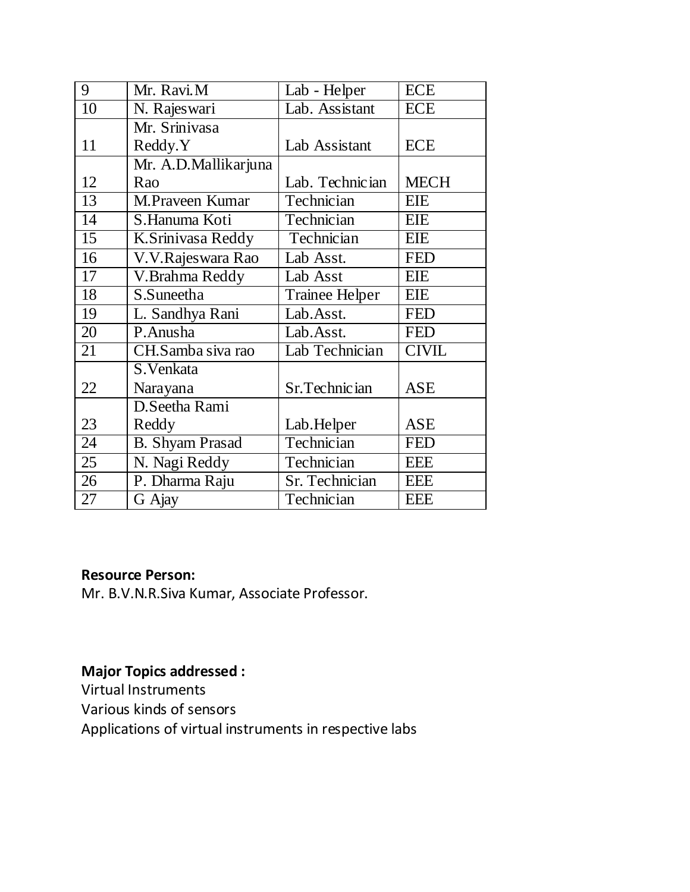| 9  | Mr. Ravi.M             | Lab - Helper          | <b>ECE</b>   |
|----|------------------------|-----------------------|--------------|
| 10 | N. Rajeswari           | Lab. Assistant        | <b>ECE</b>   |
|    | Mr. Srinivasa          |                       |              |
| 11 | Reddy.Y                | Lab Assistant         | <b>ECE</b>   |
|    | Mr. A.D.Mallikarjuna   |                       |              |
| 12 | Rao                    | Lab. Technician       | <b>MECH</b>  |
| 13 | <b>M.Praveen Kumar</b> | Technician            | <b>EIE</b>   |
| 14 | S.Hanuma Koti          | Technician            | EIE          |
| 15 | K.Srinivasa Reddy      | Technician            | <b>EIE</b>   |
| 16 | V.V. Rajeswara Rao     | Lab Asst.             | <b>FED</b>   |
| 17 | V.Brahma Reddy         | Lab Asst              | <b>EIE</b>   |
| 18 | S.Suneetha             | <b>Trainee Helper</b> | <b>EIE</b>   |
| 19 | L. Sandhya Rani        | Lab.Asst.             | <b>FED</b>   |
| 20 | P.Anusha               | Lab.Asst.             | <b>FED</b>   |
| 21 | CH.Samba siya rao      | Lab Technician        | <b>CIVIL</b> |
|    | S. Venkata             |                       |              |
| 22 | Narayana               | Sr.Technician         | <b>ASE</b>   |
|    | D.Seetha Rami          |                       |              |
| 23 | Reddy                  | Lab.Helper            | <b>ASE</b>   |
| 24 | <b>B.</b> Shyam Prasad | Technician            | <b>FED</b>   |
| 25 | N. Nagi Reddy          | Technician            | <b>EEE</b>   |
| 26 | P. Dharma Raju         | Sr. Technician        | <b>EEE</b>   |
| 27 | G Ajay                 | Technician            | <b>EEE</b>   |

## **Resource Person:**

Mr. B.V.N.R.Siva Kumar, Associate Professor.

## **Major Topics addressed :**

Virtual Instruments Various kinds of sensors

Applications of virtual instruments in respective labs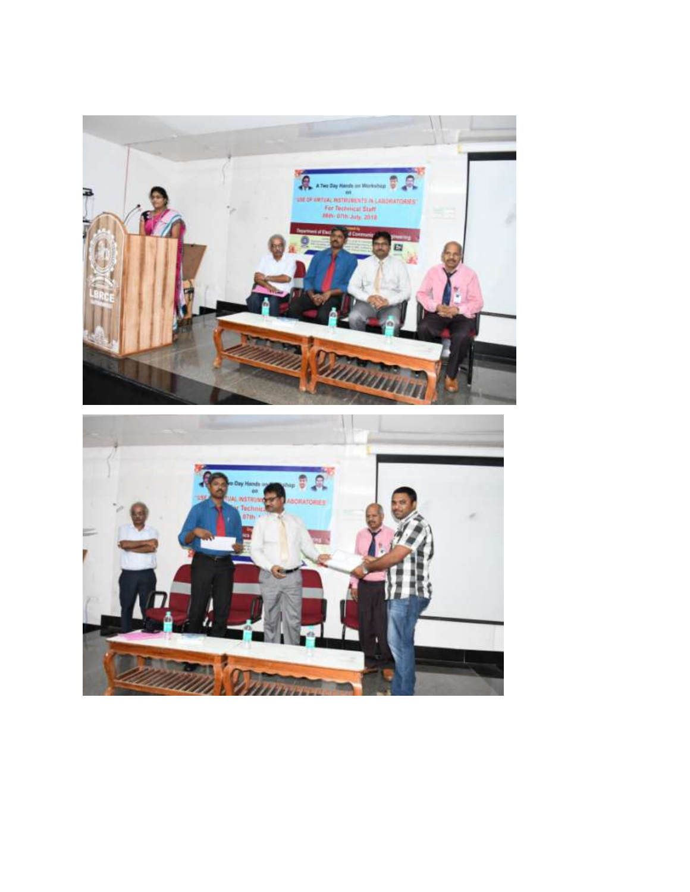